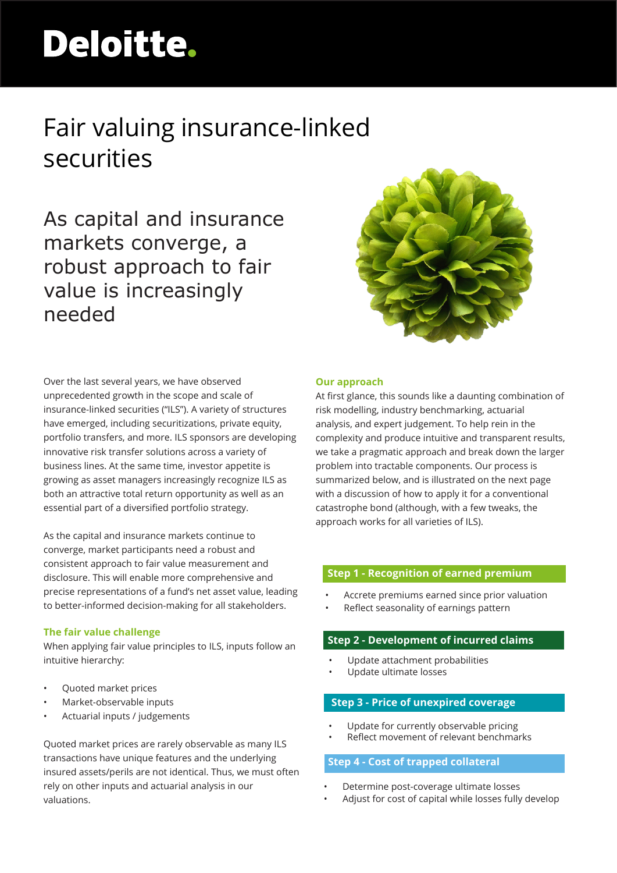# Deloitte.

# Fair valuing insurance-linked securities

As capital and insurance markets converge, a robust approach to fair value is increasingly needed



As the capital and insurance markets continue to converge, market participants need a robust and consistent approach to fair value measurement and disclosure. This will enable more comprehensive and precise representations of a fund's net asset value, leading to better-informed decision-making for all stakeholders.

## **The fair value challenge**

When applying fair value principles to ILS, inputs follow an intuitive hierarchy:

- Quoted market prices
- Market-observable inputs
- Actuarial inputs / judgements

Quoted market prices are rarely observable as many ILS transactions have unique features and the underlying insured assets/perils are not identical. Thus, we must often rely on other inputs and actuarial analysis in our valuations.



## **Our approach**

At first glance, this sounds like a daunting combination of risk modelling, industry benchmarking, actuarial analysis, and expert judgement. To help rein in the complexity and produce intuitive and transparent results, we take a pragmatic approach and break down the larger problem into tractable components. Our process is summarized below, and is illustrated on the next page with a discussion of how to apply it for a conventional catastrophe bond (although, with a few tweaks, the approach works for all varieties of ILS).

# **Step 1 - Recognition of earned premium**

- Accrete premiums earned since prior valuation
- Reflect seasonality of earnings pattern

# **Step 2 - Development of incurred claims**

- Update attachment probabilities
- Update ultimate losses

# **Step 3 - Price of unexpired coverage**

- Update for currently observable pricing
- Reflect movement of relevant benchmarks

# **Step 4 - Cost of trapped collateral**

- Determine post-coverage ultimate losses
- Adjust for cost of capital while losses fully develop